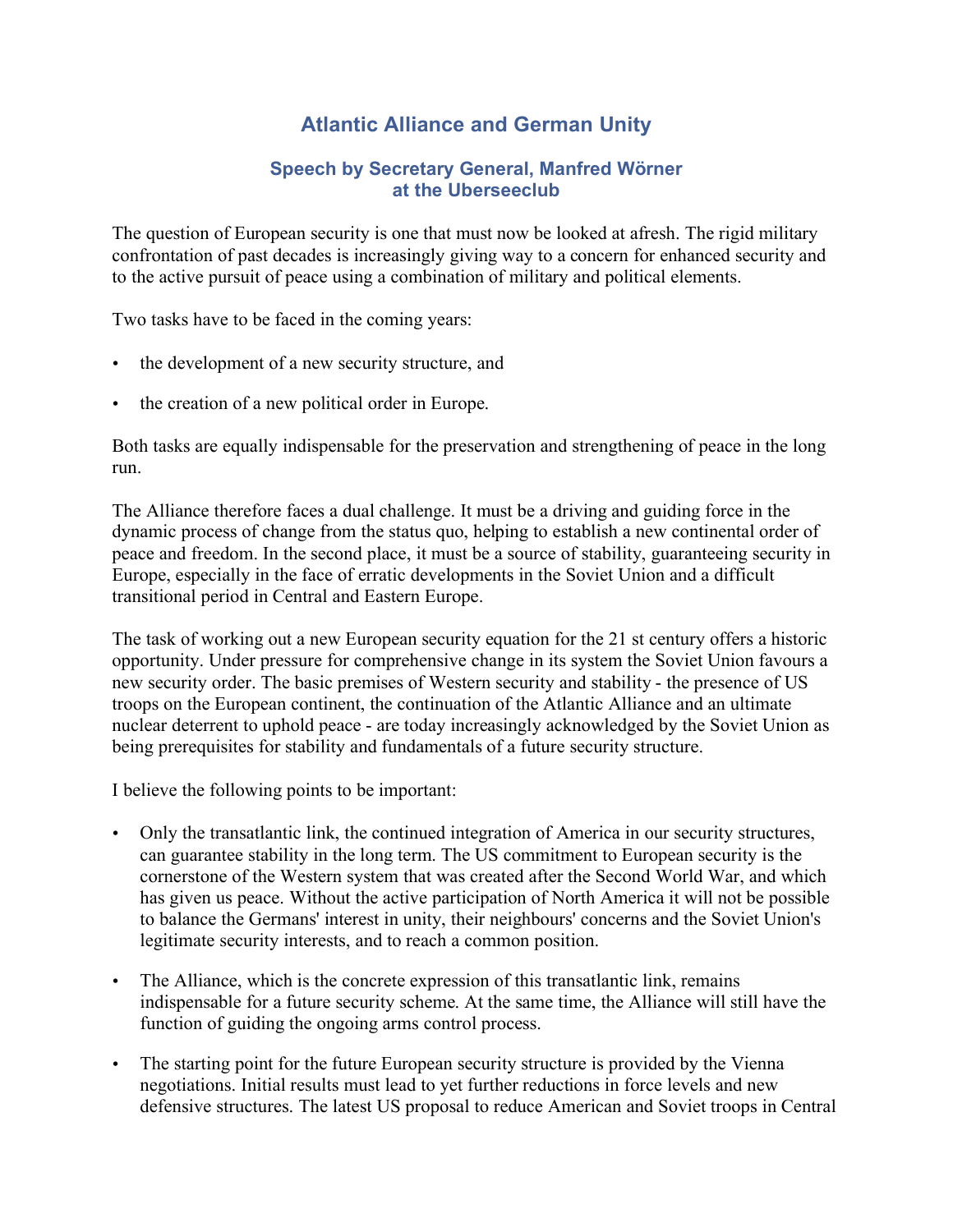## **Atlantic Alliance and German Unity**

## **Speech by Secretary General, Manfred Wörner at the Uberseeclub**

The question of European security is one that must now be looked at afresh. The rigid military confrontation of past decades is increasingly giving way to a concern for enhanced security and to the active pursuit of peace using a combination of military and political elements.

Two tasks have to be faced in the coming years:

- the development of a new security structure, and
- the creation of a new political order in Europe.

Both tasks are equally indispensable for the preservation and strengthening of peace in the long run.

The Alliance therefore faces a dual challenge. It must be a driving and guiding force in the dynamic process of change from the status quo, helping to establish a new continental order of peace and freedom. In the second place, it must be a source of stability, guaranteeing security in Europe, especially in the face of erratic developments in the Soviet Union and a difficult transitional period in Central and Eastern Europe.

The task of working out a new European security equation for the 21 st century offers a historic opportunity. Under pressure for comprehensive change in its system the Soviet Union favours a new security order. The basic premises of Western security and stability - the presence of US troops on the European continent, the continuation of the Atlantic Alliance and an ultimate nuclear deterrent to uphold peace - are today increasingly acknowledged by the Soviet Union as being prerequisites for stability and fundamentals of a future security structure.

I believe the following points to be important:

- Only the transatlantic link, the continued integration of America in our security structures, can guarantee stability in the long term. The US commitment to European security is the cornerstone of the Western system that was created after the Second World War, and which has given us peace. Without the active participation of North America it will not be possible to balance the Germans' interest in unity, their neighbours' concerns and the Soviet Union's legitimate security interests, and to reach a common position.
- The Alliance, which is the concrete expression of this transatlantic link, remains indispensable for a future security scheme. At the same time, the Alliance will still have the function of guiding the ongoing arms control process.
- The starting point for the future European security structure is provided by the Vienna negotiations. Initial results must lead to yet further reductions in force levels and new defensive structures. The latest US proposal to reduce American and Soviet troops in Central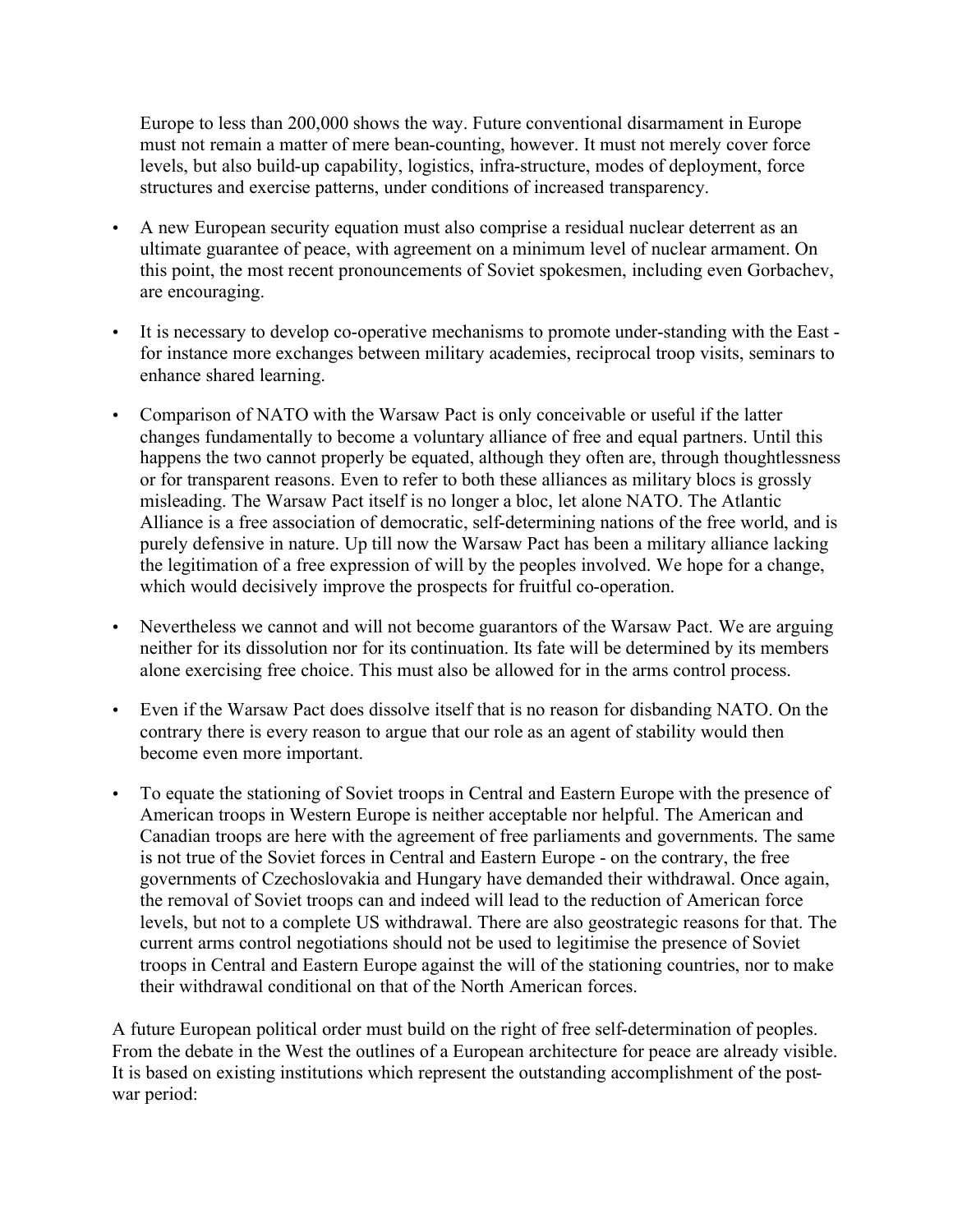Europe to less than 200,000 shows the way. Future conventional disarmament in Europe must not remain a matter of mere bean-counting, however. It must not merely cover force levels, but also build-up capability, logistics, infra-structure, modes of deployment, force structures and exercise patterns, under conditions of increased transparency.

- A new European security equation must also comprise a residual nuclear deterrent as an ultimate guarantee of peace, with agreement on a minimum level of nuclear armament. On this point, the most recent pronouncements of Soviet spokesmen, including even Gorbachev, are encouraging.
- It is necessary to develop co-operative mechanisms to promote under-standing with the East for instance more exchanges between military academies, reciprocal troop visits, seminars to enhance shared learning.
- Comparison of NATO with the Warsaw Pact is only conceivable or useful if the latter changes fundamentally to become a voluntary alliance of free and equal partners. Until this happens the two cannot properly be equated, although they often are, through thoughtlessness or for transparent reasons. Even to refer to both these alliances as military blocs is grossly misleading. The Warsaw Pact itself is no longer a bloc, let alone NATO. The Atlantic Alliance is a free association of democratic, self-determining nations of the free world, and is purely defensive in nature. Up till now the Warsaw Pact has been a military alliance lacking the legitimation of a free expression of will by the peoples involved. We hope for a change, which would decisively improve the prospects for fruitful co-operation.
- Nevertheless we cannot and will not become guarantors of the Warsaw Pact. We are arguing neither for its dissolution nor for its continuation. Its fate will be determined by its members alone exercising free choice. This must also be allowed for in the arms control process.
- Even if the Warsaw Pact does dissolve itself that is no reason for disbanding NATO. On the contrary there is every reason to argue that our role as an agent of stability would then become even more important.
- To equate the stationing of Soviet troops in Central and Eastern Europe with the presence of American troops in Western Europe is neither acceptable nor helpful. The American and Canadian troops are here with the agreement of free parliaments and governments. The same is not true of the Soviet forces in Central and Eastern Europe - on the contrary, the free governments of Czechoslovakia and Hungary have demanded their withdrawal. Once again, the removal of Soviet troops can and indeed will lead to the reduction of American force levels, but not to a complete US withdrawal. There are also geostrategic reasons for that. The current arms control negotiations should not be used to legitimise the presence of Soviet troops in Central and Eastern Europe against the will of the stationing countries, nor to make their withdrawal conditional on that of the North American forces.

A future European political order must build on the right of free self-determination of peoples. From the debate in the West the outlines of a European architecture for peace are already visible. It is based on existing institutions which represent the outstanding accomplishment of the postwar period: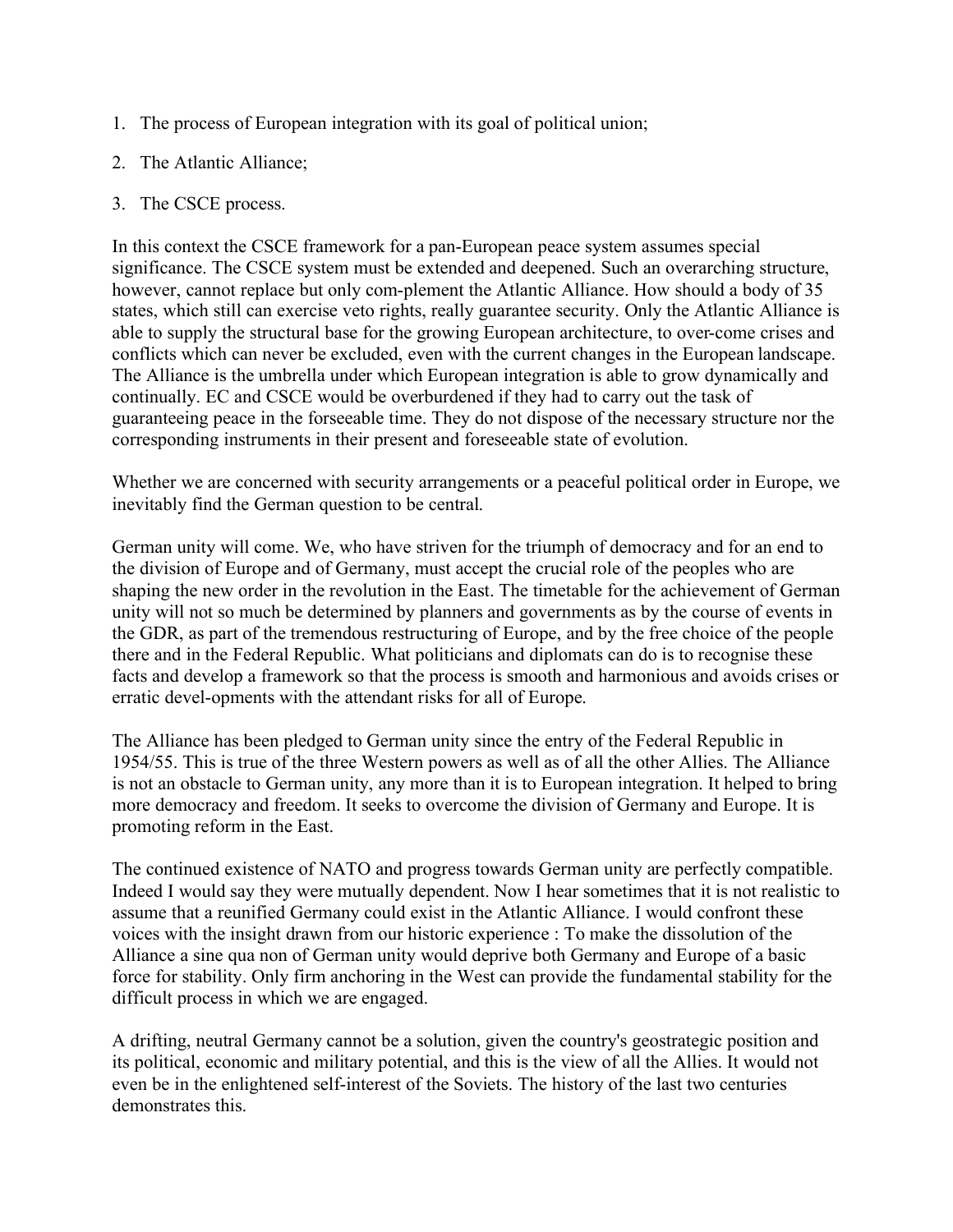- 1. The process of European integration with its goal of political union;
- 2. The Atlantic Alliance;
- 3. The CSCE process.

In this context the CSCE framework for a pan-European peace system assumes special significance. The CSCE system must be extended and deepened. Such an overarching structure, however, cannot replace but only com-plement the Atlantic Alliance. How should a body of 35 states, which still can exercise veto rights, really guarantee security. Only the Atlantic Alliance is able to supply the structural base for the growing European architecture, to over-come crises and conflicts which can never be excluded, even with the current changes in the European landscape. The Alliance is the umbrella under which European integration is able to grow dynamically and continually. EC and CSCE would be overburdened if they had to carry out the task of guaranteeing peace in the forseeable time. They do not dispose of the necessary structure nor the corresponding instruments in their present and foreseeable state of evolution.

Whether we are concerned with security arrangements or a peaceful political order in Europe, we inevitably find the German question to be central.

German unity will come. We, who have striven for the triumph of democracy and for an end to the division of Europe and of Germany, must accept the crucial role of the peoples who are shaping the new order in the revolution in the East. The timetable for the achievement of German unity will not so much be determined by planners and governments as by the course of events in the GDR, as part of the tremendous restructuring of Europe, and by the free choice of the people there and in the Federal Republic. What politicians and diplomats can do is to recognise these facts and develop a framework so that the process is smooth and harmonious and avoids crises or erratic devel-opments with the attendant risks for all of Europe.

The Alliance has been pledged to German unity since the entry of the Federal Republic in 1954/55. This is true of the three Western powers as well as of all the other Allies. The Alliance is not an obstacle to German unity, any more than it is to European integration. It helped to bring more democracy and freedom. It seeks to overcome the division of Germany and Europe. It is promoting reform in the East.

The continued existence of NATO and progress towards German unity are perfectly compatible. Indeed I would say they were mutually dependent. Now I hear sometimes that it is not realistic to assume that a reunified Germany could exist in the Atlantic Alliance. I would confront these voices with the insight drawn from our historic experience : To make the dissolution of the Alliance a sine qua non of German unity would deprive both Germany and Europe of a basic force for stability. Only firm anchoring in the West can provide the fundamental stability for the difficult process in which we are engaged.

A drifting, neutral Germany cannot be a solution, given the country's geostrategic position and its political, economic and military potential, and this is the view of all the Allies. It would not even be in the enlightened self-interest of the Soviets. The history of the last two centuries demonstrates this.